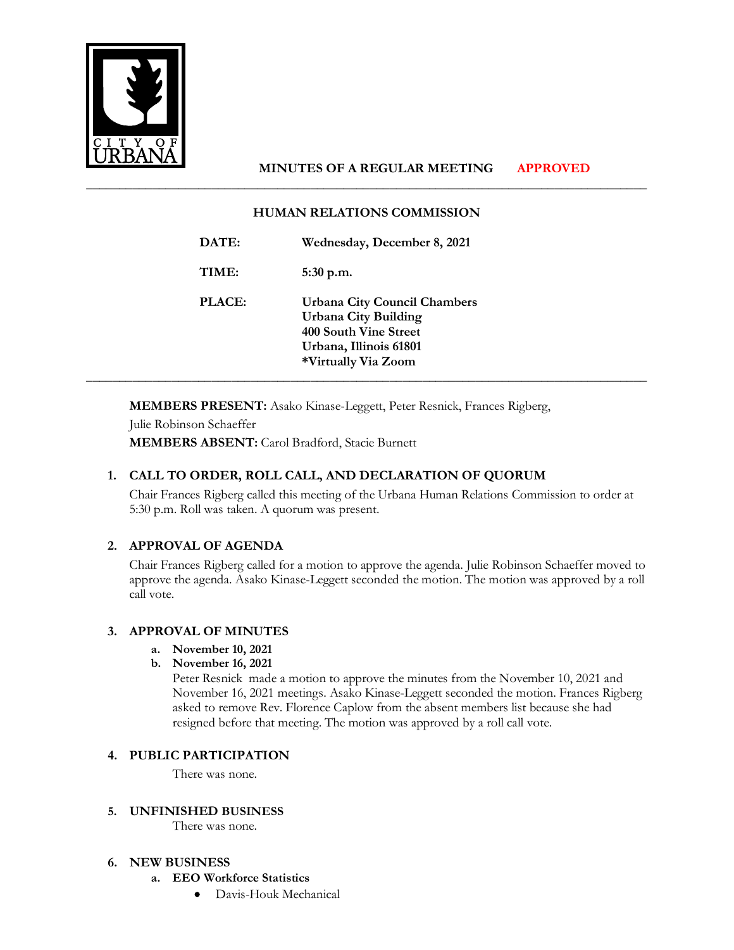

# **MINUTES OF A REGULAR MEETING APPROVED**

### **HUMAN RELATIONS COMMISSION**

\_\_\_\_\_\_\_\_\_\_\_\_\_\_\_\_\_\_\_\_\_\_\_\_\_\_\_\_\_\_\_\_\_\_\_\_\_\_\_\_\_\_\_\_\_\_\_\_\_\_\_\_\_\_\_\_\_\_\_\_\_\_\_\_\_\_\_\_\_\_\_\_\_\_\_\_\_\_\_\_\_\_\_\_\_

| DATE:         | Wednesday, December 8, 2021                                                                                                                         |
|---------------|-----------------------------------------------------------------------------------------------------------------------------------------------------|
| TIME:         | $5:30$ p.m.                                                                                                                                         |
| <b>PLACE:</b> | <b>Urbana City Council Chambers</b><br><b>Urbana City Building</b><br><b>400 South Vine Street</b><br>Urbana, Illinois 61801<br>*Virtually Via Zoom |

**MEMBERS PRESENT:** Asako Kinase-Leggett, Peter Resnick, Frances Rigberg,

Julie Robinson Schaeffer **MEMBERS ABSENT:** Carol Bradford, Stacie Burnett

## **1. CALL TO ORDER, ROLL CALL, AND DECLARATION OF QUORUM**

Chair Frances Rigberg called this meeting of the Urbana Human Relations Commission to order at 5:30 p.m. Roll was taken. A quorum was present.

## **2. APPROVAL OF AGENDA**

Chair Frances Rigberg called for a motion to approve the agenda. Julie Robinson Schaeffer moved to approve the agenda. Asako Kinase-Leggett seconded the motion. The motion was approved by a roll call vote.

## **3. APPROVAL OF MINUTES**

- **a. November 10, 2021**
- **b. November 16, 2021**

Peter Resnick made a motion to approve the minutes from the November 10, 2021 and November 16, 2021 meetings. Asako Kinase-Leggett seconded the motion. Frances Rigberg asked to remove Rev. Florence Caplow from the absent members list because she had resigned before that meeting. The motion was approved by a roll call vote.

#### **4. PUBLIC PARTICIPATION**

There was none.

#### **5. UNFINISHED BUSINESS**

There was none.

#### **6. NEW BUSINESS**

- **a. EEO Workforce Statistics** 
	- Davis-Houk Mechanical